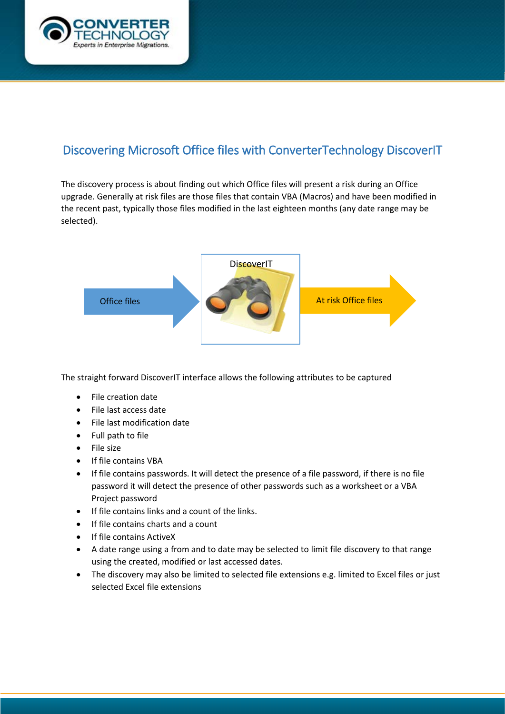

## Discovering Microsoft Office files with ConverterTechnology DiscoverIT

The discovery process is about finding out which Office files will present a risk during an Office upgrade. Generally at risk files are those files that contain VBA (Macros) and have been modified in the recent past, typically those files modified in the last eighteen months (any date range may be selected).



The straight forward DiscoverIT interface allows the following attributes to be captured

- File creation date
- File last access date
- File last modification date
- Full path to file
- File size
- If file contains VBA
- If file contains passwords. It will detect the presence of a file password, if there is no file password it will detect the presence of other passwords such as a worksheet or a VBA Project password
- If file contains links and a count of the links.
- If file contains charts and a count
- If file contains ActiveX
- A date range using a from and to date may be selected to limit file discovery to that range using the created, modified or last accessed dates.
- The discovery may also be limited to selected file extensions e.g. limited to Excel files or just selected Excel file extensions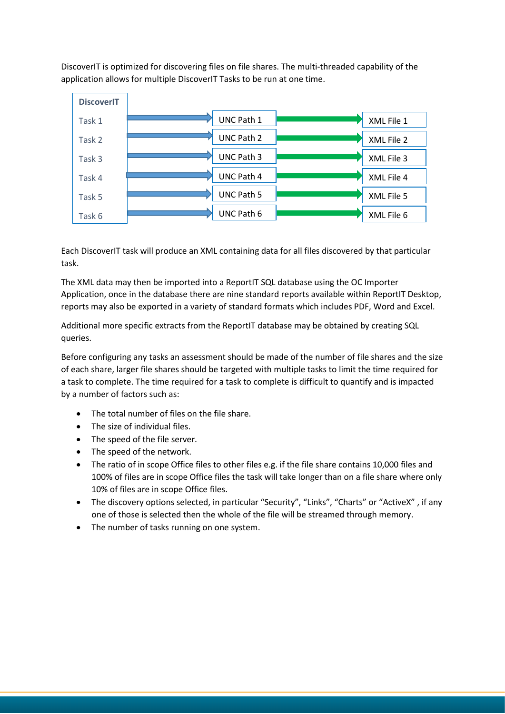DiscoverIT is optimized for discovering files on file shares. The multi-threaded capability of the application allows for multiple DiscoverIT Tasks to be run at one time.



Each DiscoverIT task will produce an XML containing data for all files discovered by that particular task.

The XML data may then be imported into a ReportIT SQL database using the OC Importer Application, once in the database there are nine standard reports available within ReportIT Desktop, reports may also be exported in a variety of standard formats which includes PDF, Word and Excel.

Additional more specific extracts from the ReportIT database may be obtained by creating SQL queries.

Before configuring any tasks an assessment should be made of the number of file shares and the size of each share, larger file shares should be targeted with multiple tasks to limit the time required for a task to complete. The time required for a task to complete is difficult to quantify and is impacted by a number of factors such as:

- The total number of files on the file share.
- The size of individual files.
- The speed of the file server.
- The speed of the network.
- The ratio of in scope Office files to other files e.g. if the file share contains 10,000 files and 100% of files are in scope Office files the task will take longer than on a file share where only 10% of files are in scope Office files.
- The discovery options selected, in particular "Security", "Links", "Charts" or "ActiveX" , if any one of those is selected then the whole of the file will be streamed through memory.
- The number of tasks running on one system.